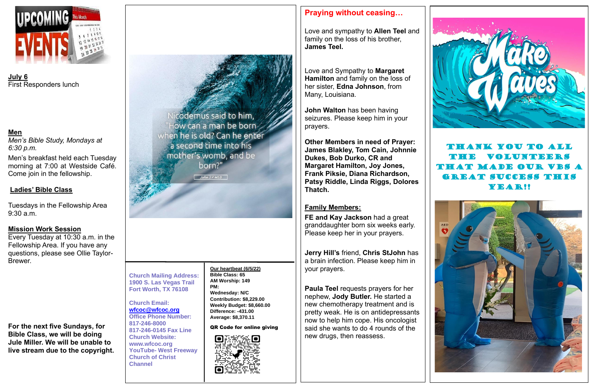

**July 6**  First Responders lunch

### **Men**

*Men's Bible Study, Mondays at 6:30 p.m.*

Men's breakfast held each Tuesday morning at 7:00 at Westside Café. Come join in the fellowship.

### **Ladies' Bible Class**

Tuesdays in the Fellowship Area 9:30 a.m.

### **Mission Work Session**

Every Tuesday at 10:30 a.m. in the Fellowship Area. If you have any questions, please see Ollie Taylor-Brewer.

**For the next five Sundays, for Bible Class, we will be doing Jule Miller. We will be unable to live stream due to the copyright.**

Nicodemus said to him, How can a man be born when he is old? Can he enter a second time into his mother's womb, and be born?"

 $John 3:4 WEB$ 

#### **Church Mailing Address: 1900 S. Las Vegas Trail Fort Worth, TX 76108**

**Church Email: [wfcoc@wfcoc.org](mailto:wfcoc@wfcoc.org) Office Phone Number: 817-246-8000 817-246-0145 Fax Line Church Website: www.wfcoc.org YouTube- West Freeway** 

**Church of Christ** 

**Channel**

### **Praying without ceasing…**

Love and sympathy to **Allen Teel** and family on the loss of his brother, **James Teel.**

Love and Sympathy to **Margaret Hamilton** and family on the loss of her sister, **Edna Johnson**, from Many, Louisiana.

**John Walton** has been having seizures. Please keep him in your prayers.

**Other Members in need of Prayer: James Blakley, Tom Cain, Johnnie Dukes, Bob Durko, CR and Margaret Hamilton, Joy Jones, Frank Piksie, Diana Richardson, Patsy Riddle, Linda Riggs, Dolores Thatch.** 

### **Family Members:**

**FE and Kay Jackson** had a great granddaughter born six weeks early. Please keep her in your prayers.

**Jerry Hill's** friend, **Chris StJohn** has a brain infection. Please keep him in your prayers.

**Paula Teel** requests prayers for her nephew, **Jody Butler.** He started a new chemotherapy treatment and is pretty weak. He is on antidepressants now to help him cope. His oncologist said she wants to do 4 rounds of the new drugs, then reassess.



## IK YOU TO ALL volunteers THAT MADE OUR great success this YEAR!!



**Our heartbeat (6/5/22) Bible Class: 65 AM Worship: 149 PM: Wednesday: N/C Contribution: \$8,229.00 Weekly Budget: \$8,660.00 Difference: -431.00 Average: \$8,370.11** 

QR Code for online giving